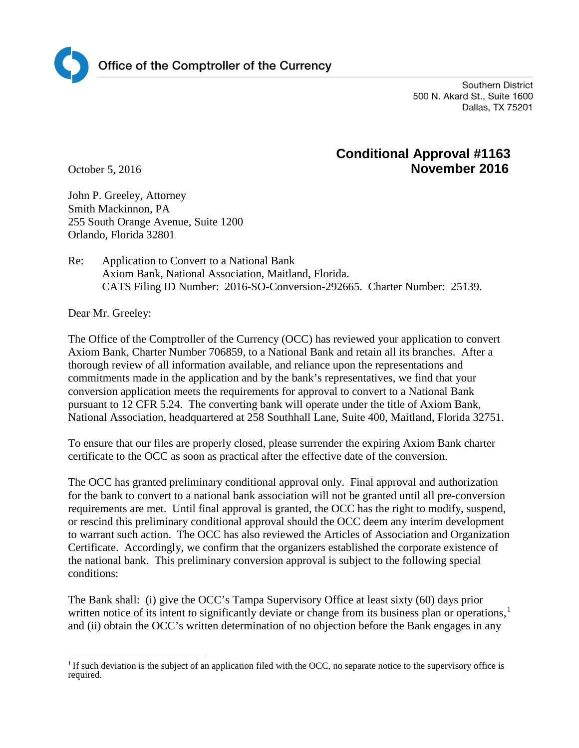

Southern District 500 N. Akard St., Suite 1600 Dallas, TX 75201

## **Conditional Approval #1163** October 5, 2016 **November 2016**

John P. Greeley, Attorney Smith Mackinnon, PA 255 South Orange Avenue, Suite 1200 Orlando, Florida 32801

Re: Application to Convert to a National Bank Axiom Bank, National Association, Maitland, Florida. CATS Filing ID Number: 2016-SO-Conversion-292665. Charter Number: 25139.

Dear Mr. Greeley:

The Office of the Comptroller of the Currency (OCC) has reviewed your application to convert Axiom Bank, Charter Number 706859, to a National Bank and retain all its branches. After a thorough review of all information available, and reliance upon the representations and commitments made in the application and by the bank's representatives, we find that your conversion application meets the requirements for approval to convert to a National Bank pursuant to 12 CFR 5.24. The converting bank will operate under the title of Axiom Bank, National Association, headquartered at 258 Southhall Lane, Suite 400, Maitland, Florida 32751.

To ensure that our files are properly closed, please surrender the expiring Axiom Bank charter certificate to the OCC as soon as practical after the effective date of the conversion.

The OCC has granted preliminary conditional approval only. Final approval and authorization for the bank to convert to a national bank association will not be granted until all pre-conversion requirements are met. Until final approval is granted, the OCC has the right to modify, suspend, or rescind this preliminary conditional approval should the OCC deem any interim development to warrant such action. The OCC has also reviewed the Articles of Association and Organization Certificate. Accordingly, we confirm that the organizers established the corporate existence of the national bank. This preliminary conversion approval is subject to the following special conditions:

The Bank shall: (i) give the OCC's Tampa Supervisory Office at least sixty (60) days prior written notice of its intent to significantly deviate or change from its business plan or operations,<sup>[1](#page-0-0)</sup> and (ii) obtain the OCC's written determination of no objection before the Bank engages in any

<span id="page-0-0"></span> $<sup>1</sup>$  If such deviation is the subject of an application filed with the OCC, no separate notice to the supervisory office is</sup> required.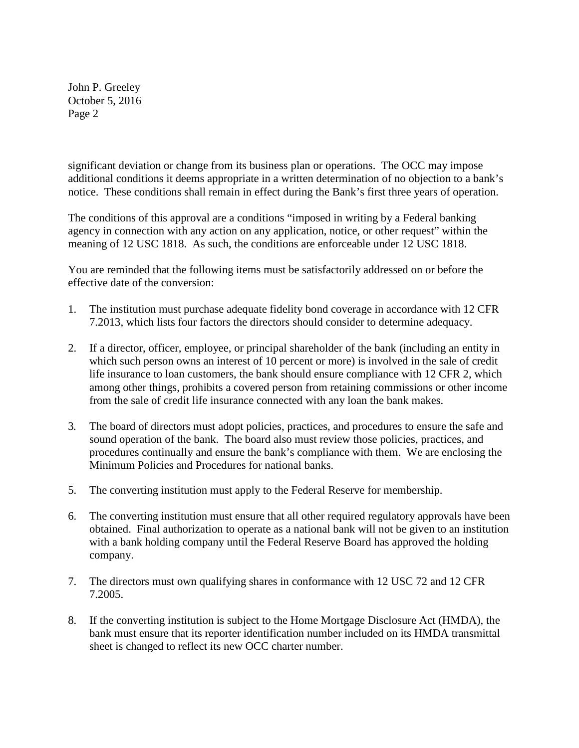John P. Greeley October 5, 2016 Page 2

significant deviation or change from its business plan or operations. The OCC may impose additional conditions it deems appropriate in a written determination of no objection to a bank's notice. These conditions shall remain in effect during the Bank's first three years of operation.

The conditions of this approval are a conditions "imposed in writing by a Federal banking agency in connection with any action on any application, notice, or other request" within the meaning of 12 USC 1818. As such, the conditions are enforceable under 12 USC 1818.

You are reminded that the following items must be satisfactorily addressed on or before the effective date of the conversion:

- 1. The institution must purchase adequate fidelity bond coverage in accordance with 12 CFR 7.2013, which lists four factors the directors should consider to determine adequacy.
- 2. If a director, officer, employee, or principal shareholder of the bank (including an entity in which such person owns an interest of 10 percent or more) is involved in the sale of credit life insurance to loan customers, the bank should ensure compliance with 12 CFR 2, which among other things, prohibits a covered person from retaining commissions or other income from the sale of credit life insurance connected with any loan the bank makes.
- 3*.* The board of directors must adopt policies, practices, and procedures to ensure the safe and sound operation of the bank. The board also must review those policies, practices, and procedures continually and ensure the bank's compliance with them. We are enclosing the Minimum Policies and Procedures for national banks.
- 5. The converting institution must apply to the Federal Reserve for membership.
- 6. The converting institution must ensure that all other required regulatory approvals have been obtained. Final authorization to operate as a national bank will not be given to an institution with a bank holding company until the Federal Reserve Board has approved the holding company.
- 7. The directors must own qualifying shares in conformance with 12 USC 72 and 12 CFR 7.2005.
- 8. If the converting institution is subject to the Home Mortgage Disclosure Act (HMDA), the bank must ensure that its reporter identification number included on its HMDA transmittal sheet is changed to reflect its new OCC charter number.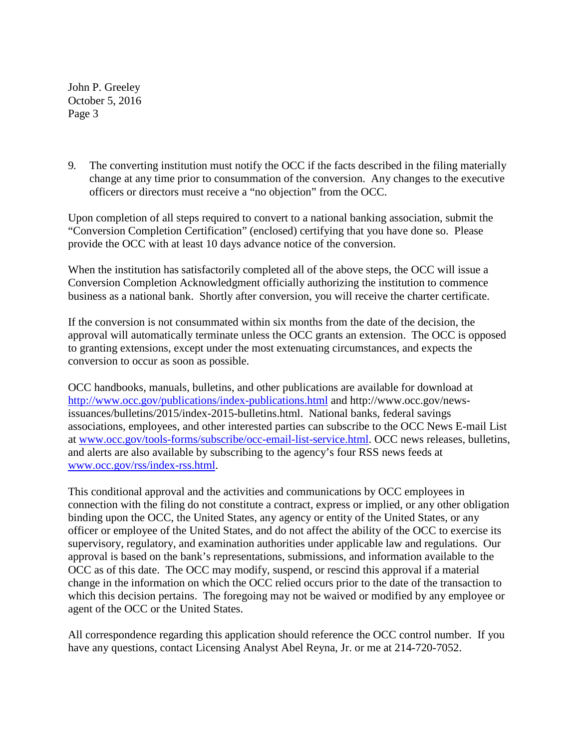John P. Greeley October 5, 2016 Page 3

9*.* The converting institution must notify the OCC if the facts described in the filing materially change at any time prior to consummation of the conversion. Any changes to the executive officers or directors must receive a "no objection" from the OCC.

Upon completion of all steps required to convert to a national banking association, submit the "Conversion Completion Certification" (enclosed) certifying that you have done so. Please provide the OCC with at least 10 days advance notice of the conversion.

When the institution has satisfactorily completed all of the above steps, the OCC will issue a Conversion Completion Acknowledgment officially authorizing the institution to commence business as a national bank. Shortly after conversion, you will receive the charter certificate.

If the conversion is not consummated within six months from the date of the decision, the approval will automatically terminate unless the OCC grants an extension. The OCC is opposed to granting extensions, except under the most extenuating circumstances, and expects the conversion to occur as soon as possible.

OCC handbooks, manuals, bulletins, and other publications are available for download at <http://www.occ.gov/publications/index-publications.html> and http://www.occ.gov/newsissuances/bulletins/2015/index-2015-bulletins.html. National banks, federal savings associations, employees, and other interested parties can subscribe to the OCC News E-mail List at [www.occ.gov/tools-forms/subscribe/occ-email-list-service.html.](http://www.occ.gov/tools-forms/subscribe/occ-email-list-service.html) OCC news releases, bulletins, and alerts are also available by subscribing to the agency's four RSS news feeds at [www.occ.gov/rss/index-rss.html.](http://www.occ.gov/rss/index-rss.html)

This conditional approval and the activities and communications by OCC employees in connection with the filing do not constitute a contract, express or implied, or any other obligation binding upon the OCC, the United States, any agency or entity of the United States, or any officer or employee of the United States, and do not affect the ability of the OCC to exercise its supervisory, regulatory, and examination authorities under applicable law and regulations. Our approval is based on the bank's representations, submissions, and information available to the OCC as of this date. The OCC may modify, suspend, or rescind this approval if a material change in the information on which the OCC relied occurs prior to the date of the transaction to which this decision pertains. The foregoing may not be waived or modified by any employee or agent of the OCC or the United States.

All correspondence regarding this application should reference the OCC control number. If you have any questions, contact Licensing Analyst Abel Reyna, Jr. or me at 214-720-7052.